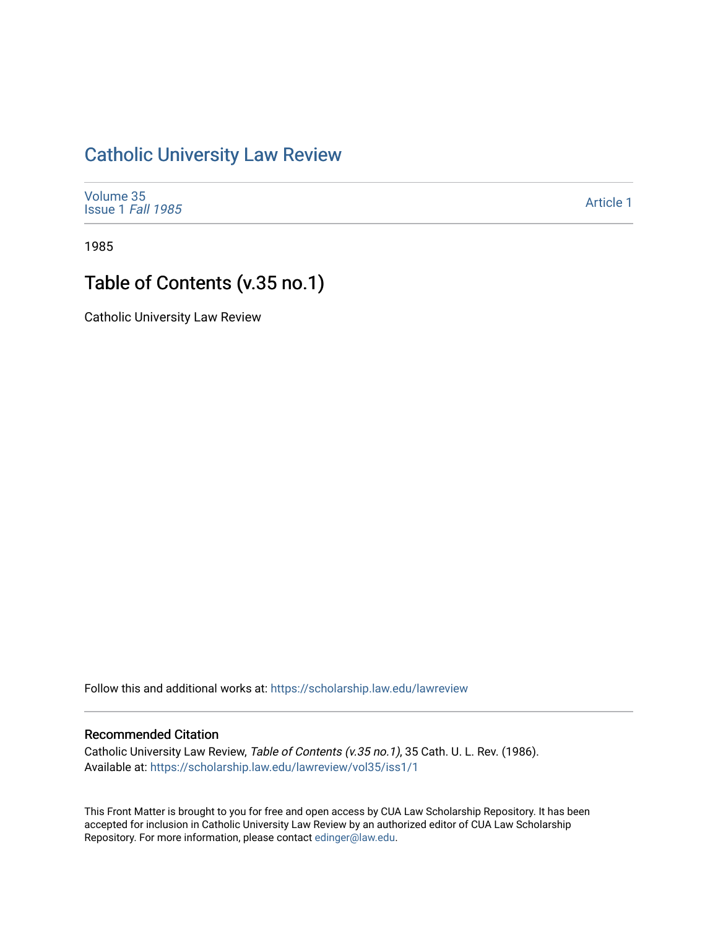## [Catholic University Law Review](https://scholarship.law.edu/lawreview)

[Volume 35](https://scholarship.law.edu/lawreview/vol35) [Issue 1](https://scholarship.law.edu/lawreview/vol35/iss1) Fall 1985

[Article 1](https://scholarship.law.edu/lawreview/vol35/iss1/1) 

1985

## Table of Contents (v.35 no.1)

Catholic University Law Review

Follow this and additional works at: [https://scholarship.law.edu/lawreview](https://scholarship.law.edu/lawreview?utm_source=scholarship.law.edu%2Flawreview%2Fvol35%2Fiss1%2F1&utm_medium=PDF&utm_campaign=PDFCoverPages)

## Recommended Citation

Catholic University Law Review, Table of Contents (v.35 no.1), 35 Cath. U. L. Rev. (1986). Available at: [https://scholarship.law.edu/lawreview/vol35/iss1/1](https://scholarship.law.edu/lawreview/vol35/iss1/1?utm_source=scholarship.law.edu%2Flawreview%2Fvol35%2Fiss1%2F1&utm_medium=PDF&utm_campaign=PDFCoverPages)

This Front Matter is brought to you for free and open access by CUA Law Scholarship Repository. It has been accepted for inclusion in Catholic University Law Review by an authorized editor of CUA Law Scholarship Repository. For more information, please contact [edinger@law.edu.](mailto:edinger@law.edu)